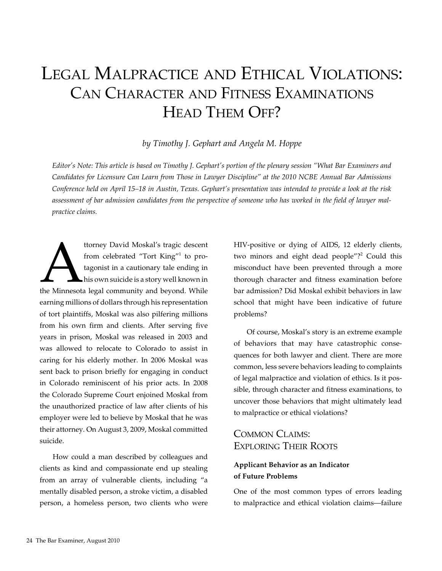# Legal Malpractice and Ethical Violations: Can Character and Fitness Examinations HEAD THEM OFF?

#### *by Timothy J. Gephart and Angela M. Hoppe*

*Editor's Note: This article is based on Timothy J. Gephart's portion of the plenary session "What Bar Examiners and Candidates for Licensure Can Learn from Those in Lawyer Discipline" at the 2010 NCBE Annual Bar Admissions Conference held on April 15–18 in Austin, Texas. Gephart's presentation was intended to provide a look at the risk assessment of bar admission candidates from the perspective of someone who has worked in the field of lawyer malpractice claims.*

ttorney David Moskal's tragic descent<br>
from celebrated "Tort King"<sup>1</sup> to pro-<br>
tagonist in a cautionary tale ending in<br>
his own suicide is a story well known in<br>
the Minnesota legal community and beyond. While from celebrated "Tort King"<sup>1</sup> to protagonist in a cautionary tale ending in his own suicide is a story well known in earning millions of dollars through his representation of tort plaintiffs, Moskal was also pilfering millions from his own firm and clients. After serving five years in prison, Moskal was released in 2003 and was allowed to relocate to Colorado to assist in caring for his elderly mother. In 2006 Moskal was sent back to prison briefly for engaging in conduct in Colorado reminiscent of his prior acts. In 2008 the Colorado Supreme Court enjoined Moskal from the unauthorized practice of law after clients of his employer were led to believe by Moskal that he was their attorney. On August 3, 2009, Moskal committed suicide.

How could a man described by colleagues and clients as kind and compassionate end up stealing from an array of vulnerable clients, including "a mentally disabled person, a stroke victim, a disabled person, a homeless person, two clients who were HIV-positive or dying of AIDS, 12 elderly clients, two minors and eight dead people"?<sup>2</sup> Could this misconduct have been prevented through a more thorough character and fitness examination before bar admission? Did Moskal exhibit behaviors in law school that might have been indicative of future problems?

Of course, Moskal's story is an extreme example of behaviors that may have catastrophic consequences for both lawyer and client. There are more common, less severe behaviors leading to complaints of legal malpractice and violation of ethics. Is it possible, through character and fitness examinations, to uncover those behaviors that might ultimately lead to malpractice or ethical violations?

## COMMON CLAIMS: Exploring Their Roots

#### **Applicant Behavior as an Indicator of Future Problems**

One of the most common types of errors leading to malpractice and ethical violation claims—failure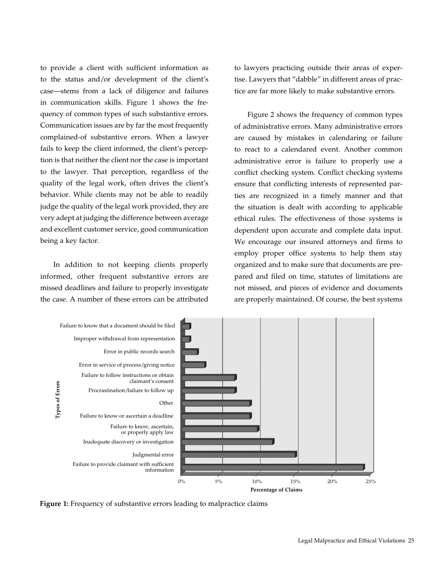to provide a client with sufficient information as to the status and/or development of the client's case—stems from a lack of diligence and failures in communication skills. Figure 1 shows the frequency of common types of such substantive errors. Communication issues are by far the most frequently complained-of substantive errors. When a lawyer fails to keep the client informed, the client's perception is that neither the client nor the case is important to the lawyer. That perception, regardless of the quality of the legal work, often drives the client's behavior. While clients may not be able to readily judge the quality of the legal work provided, they are very adept at judging the difference between average and excellent customer service, good communication being a key factor.

In addition to not keeping clients properly informed, other frequent substantive errors are missed deadlines and failure to properly investigate the case. A number of these errors can be attributed to lawyers practicing outside their areas of expertise. Lawyers that "dabble" in different areas of practice are far more likely to make substantive errors.

Figure 2 shows the frequency of common types of administrative errors. Many administrative errors are caused by mistakes in calendaring or failure to react to a calendared event. Another common administrative error is failure to properly use a conflict checking system. Conflict checking systems ensure that conflicting interests of represented parties are recognized in a timely manner and that the situation is dealt with according to applicable ethical rules. The effectiveness of those systems is dependent upon accurate and complete data input. We encourage our insured attorneys and firms to employ proper office systems to help them stay organized and to make sure that documents are prepared and filed on time, statutes of limitations are not missed, and pieces of evidence and documents are properly maintained. Of course, the best systems



**Figure 1:** Frequency of substantive errors leading to malpractice claims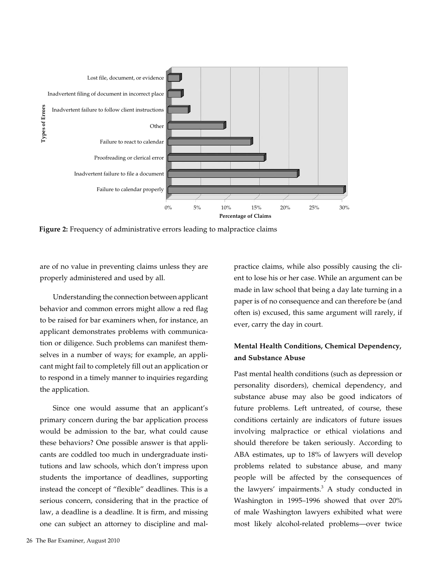

**Figure 2:** Frequency of administrative errors leading to malpractice claims

are of no value in preventing claims unless they are properly administered and used by all.

Understanding the connection between applicant behavior and common errors might allow a red flag to be raised for bar examiners when, for instance, an applicant demonstrates problems with communication or diligence. Such problems can manifest themselves in a number of ways; for example, an applicant might fail to completely fill out an application or to respond in a timely manner to inquiries regarding the application.

Since one would assume that an applicant's primary concern during the bar application process would be admission to the bar, what could cause these behaviors? One possible answer is that applicants are coddled too much in undergraduate institutions and law schools, which don't impress upon students the importance of deadlines, supporting instead the concept of "flexible" deadlines. This is a serious concern, considering that in the practice of law, a deadline is a deadline. It is firm, and missing one can subject an attorney to discipline and mal-

26 The Bar Examiner, August 2010

practice claims, while also possibly causing the client to lose his or her case. While an argument can be made in law school that being a day late turning in a paper is of no consequence and can therefore be (and often is) excused, this same argument will rarely, if ever, carry the day in court.

#### **Mental Health Conditions, Chemical Dependency, and Substance Abuse**

Past mental health conditions (such as depression or personality disorders), chemical dependency, and substance abuse may also be good indicators of future problems. Left untreated, of course, these conditions certainly are indicators of future issues involving malpractice or ethical violations and should therefore be taken seriously. According to ABA estimates, up to 18% of lawyers will develop problems related to substance abuse, and many people will be affected by the consequences of the lawyers' impairments. $3$  A study conducted in Washington in 1995–1996 showed that over 20% of male Washington lawyers exhibited what were most likely alcohol-related problems—over twice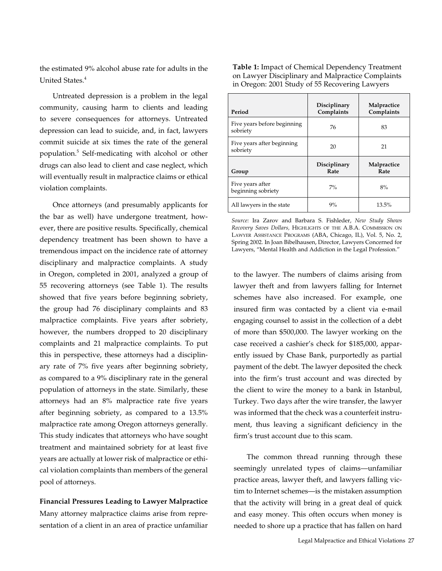the estimated 9% alcohol abuse rate for adults in the United States.<sup>4</sup>

Untreated depression is a problem in the legal community, causing harm to clients and leading to severe consequences for attorneys. Untreated depression can lead to suicide, and, in fact, lawyers commit suicide at six times the rate of the general population.5 Self-medicating with alcohol or other drugs can also lead to client and case neglect, which will eventually result in malpractice claims or ethical violation complaints.

Once attorneys (and presumably applicants for the bar as well) have undergone treatment, however, there are positive results. Specifically, chemical dependency treatment has been shown to have a tremendous impact on the incidence rate of attorney disciplinary and malpractice complaints. A study in Oregon, completed in 2001, analyzed a group of 55 recovering attorneys (see Table 1). The results showed that five years before beginning sobriety, the group had 76 disciplinary complaints and 83 malpractice complaints. Five years after sobriety, however, the numbers dropped to 20 disciplinary complaints and 21 malpractice complaints. To put this in perspective, these attorneys had a disciplinary rate of 7% five years after beginning sobriety, as compared to a 9% disciplinary rate in the general population of attorneys in the state. Similarly, these attorneys had an 8% malpractice rate five years after beginning sobriety, as compared to a 13.5% malpractice rate among Oregon attorneys generally. This study indicates that attorneys who have sought treatment and maintained sobriety for at least five years are actually at lower risk of malpractice or ethical violation complaints than members of the general pool of attorneys.

**Financial Pressures Leading to Lawyer Malpractice**  Many attorney malpractice claims arise from representation of a client in an area of practice unfamiliar **Table 1:** Impact of Chemical Dependency Treatment on Lawyer Disciplinary and Malpractice Complaints in Oregon: 2001 Study of 55 Recovering Lawyers

| Period                                  | Disciplinary<br>Complaints | Malpractice<br>Complaints |
|-----------------------------------------|----------------------------|---------------------------|
| Five years before beginning<br>sobriety | 76                         | 83                        |
| Five years after beginning<br>sobriety  | 20                         | 21                        |
|                                         | Disciplinary               | Malpractice               |
| Group                                   | Rate                       | Rate                      |
| Five years after<br>beginning sobriety  | $7\%$                      | 8%                        |

*Source:* Ira Zarov and Barbara S. Fishleder, *New Study Shows Recovery Saves Dollars,* Highlights of the A.B.A. Commission on Lawyer Assistance Programs (ABA, Chicago, IL), Vol. 5, No. 2, Spring 2002. In Joan Bibelhausen, Director, Lawyers Concerned for Lawyers, "Mental Health and Addiction in the Legal Profession."

to the lawyer. The numbers of claims arising from lawyer theft and from lawyers falling for Internet schemes have also increased. For example, one insured firm was contacted by a client via e-mail engaging counsel to assist in the collection of a debt of more than \$500,000. The lawyer working on the case received a cashier's check for \$185,000, apparently issued by Chase Bank, purportedly as partial payment of the debt. The lawyer deposited the check into the firm's trust account and was directed by the client to wire the money to a bank in Istanbul, Turkey. Two days after the wire transfer, the lawyer was informed that the check was a counterfeit instrument, thus leaving a significant deficiency in the firm's trust account due to this scam.

The common thread running through these seemingly unrelated types of claims—unfamiliar practice areas, lawyer theft, and lawyers falling victim to Internet schemes—is the mistaken assumption that the activity will bring in a great deal of quick and easy money. This often occurs when money is needed to shore up a practice that has fallen on hard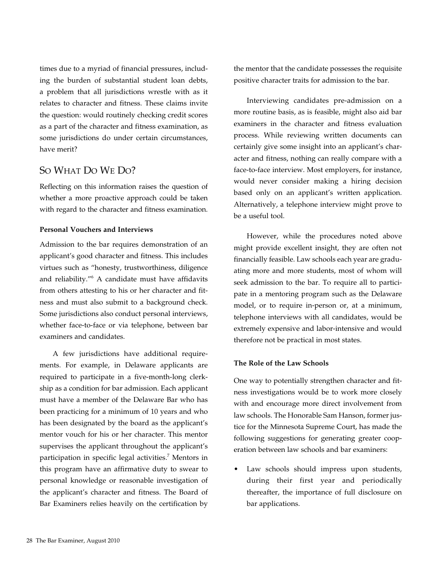times due to a myriad of financial pressures, including the burden of substantial student loan debts, a problem that all jurisdictions wrestle with as it relates to character and fitness. These claims invite the question: would routinely checking credit scores as a part of the character and fitness examination, as some jurisdictions do under certain circumstances, have merit?

## So What Do We Do?

Reflecting on this information raises the question of whether a more proactive approach could be taken with regard to the character and fitness examination.

#### **Personal Vouchers and Interviews**

Admission to the bar requires demonstration of an applicant's good character and fitness. This includes virtues such as "honesty, trustworthiness, diligence and reliability."6 A candidate must have affidavits from others attesting to his or her character and fitness and must also submit to a background check. Some jurisdictions also conduct personal interviews, whether face-to-face or via telephone, between bar examiners and candidates.

A few jurisdictions have additional requirements. For example, in Delaware applicants are required to participate in a five-month-long clerkship as a condition for bar admission. Each applicant must have a member of the Delaware Bar who has been practicing for a minimum of 10 years and who has been designated by the board as the applicant's mentor vouch for his or her character. This mentor supervises the applicant throughout the applicant's participation in specific legal activities.<sup>7</sup> Mentors in this program have an affirmative duty to swear to personal knowledge or reasonable investigation of the applicant's character and fitness. The Board of Bar Examiners relies heavily on the certification by the mentor that the candidate possesses the requisite positive character traits for admission to the bar.

Interviewing candidates pre-admission on a more routine basis, as is feasible, might also aid bar examiners in the character and fitness evaluation process. While reviewing written documents can certainly give some insight into an applicant's character and fitness, nothing can really compare with a face-to-face interview. Most employers, for instance, would never consider making a hiring decision based only on an applicant's written application. Alternatively, a telephone interview might prove to be a useful tool.

However, while the procedures noted above might provide excellent insight, they are often not financially feasible. Law schools each year are graduating more and more students, most of whom will seek admission to the bar. To require all to participate in a mentoring program such as the Delaware model, or to require in-person or, at a minimum, telephone interviews with all candidates, would be extremely expensive and labor-intensive and would therefore not be practical in most states.

#### **The Role of the Law Schools**

One way to potentially strengthen character and fitness investigations would be to work more closely with and encourage more direct involvement from law schools. The Honorable Sam Hanson, former justice for the Minnesota Supreme Court, has made the following suggestions for generating greater cooperation between law schools and bar examiners:

Law schools should impress upon students, during their first year and periodically thereafter, the importance of full disclosure on bar applications.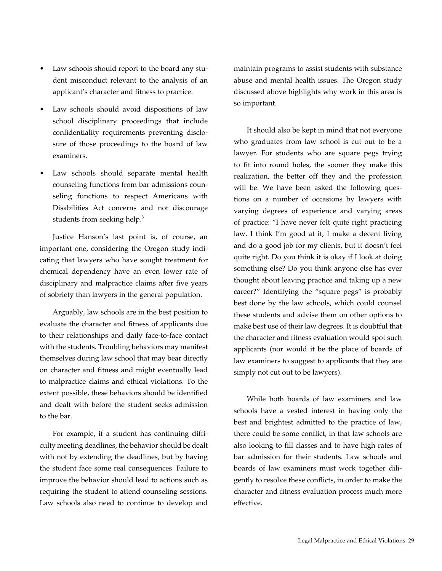- Law schools should report to the board any student misconduct relevant to the analysis of an applicant's character and fitness to practice.
- Law schools should avoid dispositions of law school disciplinary proceedings that include confidentiality requirements preventing disclosure of those proceedings to the board of law examiners.
- Law schools should separate mental health counseling functions from bar admissions counseling functions to respect Americans with Disabilities Act concerns and not discourage students from seeking help.<sup>8</sup>

Justice Hanson's last point is, of course, an important one, considering the Oregon study indicating that lawyers who have sought treatment for chemical dependency have an even lower rate of disciplinary and malpractice claims after five years of sobriety than lawyers in the general population.

Arguably, law schools are in the best position to evaluate the character and fitness of applicants due to their relationships and daily face-to-face contact with the students. Troubling behaviors may manifest themselves during law school that may bear directly on character and fitness and might eventually lead to malpractice claims and ethical violations. To the extent possible, these behaviors should be identified and dealt with before the student seeks admission to the bar.

For example, if a student has continuing difficulty meeting deadlines, the behavior should be dealt with not by extending the deadlines, but by having the student face some real consequences. Failure to improve the behavior should lead to actions such as requiring the student to attend counseling sessions. Law schools also need to continue to develop and maintain programs to assist students with substance abuse and mental health issues. The Oregon study discussed above highlights why work in this area is so important.

It should also be kept in mind that not everyone who graduates from law school is cut out to be a lawyer. For students who are square pegs trying to fit into round holes, the sooner they make this realization, the better off they and the profession will be. We have been asked the following questions on a number of occasions by lawyers with varying degrees of experience and varying areas of practice: "I have never felt quite right practicing law. I think I'm good at it, I make a decent living and do a good job for my clients, but it doesn't feel quite right. Do you think it is okay if I look at doing something else? Do you think anyone else has ever thought about leaving practice and taking up a new career?" Identifying the "square pegs" is probably best done by the law schools, which could counsel these students and advise them on other options to make best use of their law degrees. It is doubtful that the character and fitness evaluation would spot such applicants (nor would it be the place of boards of law examiners to suggest to applicants that they are simply not cut out to be lawyers).

While both boards of law examiners and law schools have a vested interest in having only the best and brightest admitted to the practice of law, there could be some conflict, in that law schools are also looking to fill classes and to have high rates of bar admission for their students. Law schools and boards of law examiners must work together diligently to resolve these conflicts, in order to make the character and fitness evaluation process much more effective.